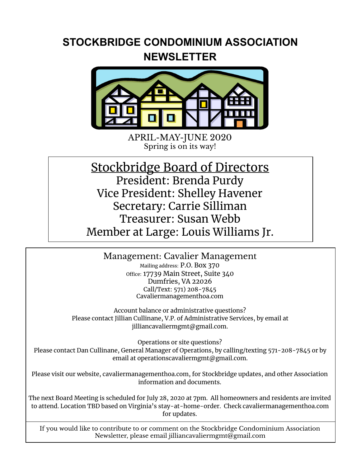## **STOCKBRIDGE CONDOMINIUM ASSOCIATION NEWSLETTER**



APRIL-MAY-JUNE 2020 Spring is on its way!

## Stockbridge Board of Directors President: Brenda Purdy Vice President: Shelley Havener Secretary: Carrie Silliman Treasurer: Susan Webb Member at Large: Louis Williams Jr.

Management: Cavalier Management Mailing address: P.O. Box 370 office: 17739 Main Street, Suite 340 Dumfries, VA 22026 Call/Text: 571) 208-7845 Cavaliermanagementhoa.com

Account balance or administrative questions? Please contact Jillian Cullinane, V.P. of Administrative Services, by email at jilliancavaliermgmt@gmail.com.

Operations or site questions? Please contact Dan Cullinane, General Manager of Operations, by calling/texting 571-208-7845 or by email at operationscavaliermgmt@gmail.com.

Please visit our website, cavaliermanagementhoa.com, for Stockbridge updates, and other Association information and documents.

The next Board Meeting is scheduled for July 28, 2020 at 7pm. All homeowners and residents are invited to attend. Location TBD based on Virginia's stay-at-home-order. Check cavaliermanagementhoa.com for updates.

If you would like to contribute to or comment on the Stockbridge Condominium Association Newsletter, please email jilliancavaliermgmt@gmail.com